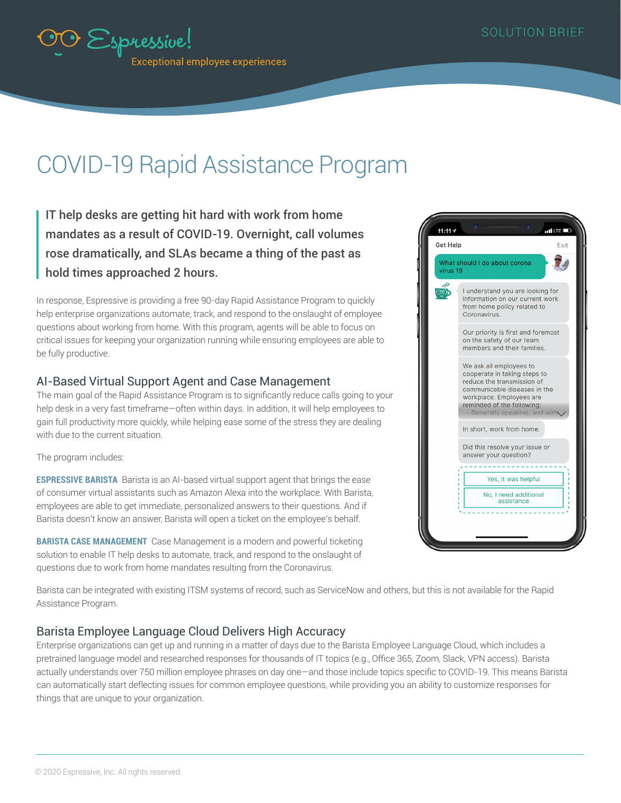

# COVID-19 Rapid Assistance Program

IT help desks are getting hit hard with work from home mandates as a result of COVID-19. Overnight, call volumes rose dramatically, and SLAs became a thing of the past as hold times approached 2 hours.

In response, Espressive is providing a free 90-day Rapid Assistance Program to quickly help enterprise organizations automate, track, and respond to the onslaught of employee questions about working from home. With this program, agents will be able to focus on critical issues for keeping your organization running while ensuring employees are able to be fully productive.

#### AI-Based Virtual Support Agent and Case Management

The main goal of the Rapid Assistance Program is to significantly reduce calls going to your help desk in a very fast timeframe—often within days. In addition, it will help employees to gain full productivity more quickly, while helping ease some of the stress they are dealing with due to the current situation.

The program includes:

**ESPRESSIVE BARISTA** Barista is an AI-based virtual support agent that brings the ease of consumer virtual assistants such as Amazon Alexa into the workplace. With Barista, employees are able to get immediate, personalized answers to their questions. And if Barista doesn't know an answer, Barista will open a ticket on the employee's behalf.

**BARISTA CASE MANAGEMENT** Case Management is a modern and powerful ticketing solution to enable IT help desks to automate, track, and respond to the onslaught of questions due to work from home mandates resulting from the Coronavirus.



Barista can be integrated with existing ITSM systems of record, such as ServiceNow and others, but this is not available for the Rapid Assistance Program.

## Barista Employee Language Cloud Delivers High Accuracy

Enterprise organizations can get up and running in a matter of days due to the Barista Employee Language Cloud, which includes a pretrained language model and researched responses for thousands of IT topics (e.g., Office 365, Zoom, Slack, VPN access). Barista actually understands over 750 million employee phrases on day one—and those include topics specific to COVID-19. This means Barista can automatically start deflecting issues for common employee questions, while providing you an ability to customize responses for things that are unique to your organization.